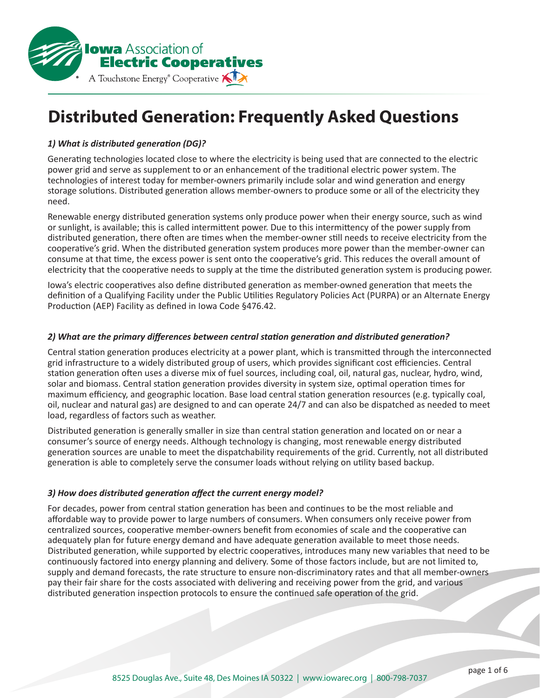

# **Distributed Generation: Frequently Asked Questions**

# *1) What is distributed generation (DG)?*

Generating technologies located close to where the electricity is being used that are connected to the electric power grid and serve as supplement to or an enhancement of the traditional electric power system. The technologies of interest today for member-owners primarily include solar and wind generation and energy storage solutions. Distributed generation allows member-owners to produce some or all of the electricity they need.

Renewable energy distributed generation systems only produce power when their energy source, such as wind or sunlight, is available; this is called intermittent power. Due to this intermittency of the power supply from distributed generation, there often are times when the member-owner still needs to receive electricity from the cooperative's grid. When the distributed generation system produces more power than the member-owner can consume at that time, the excess power is sent onto the cooperative's grid. This reduces the overall amount of electricity that the cooperative needs to supply at the time the distributed generation system is producing power.

Iowa's electric cooperatives also define distributed generation as member-owned generation that meets the definition of a Qualifying Facility under the Public Utilities Regulatory Policies Act (PURPA) or an Alternate Energy Production (AEP) Facility as defined in Iowa Code §476.42.

### *2) What are the primary differences between central station generation and distributed generation?*

Central station generation produces electricity at a power plant, which is transmitted through the interconnected grid infrastructure to a widely distributed group of users, which provides significant cost efficiencies. Central station generation often uses a diverse mix of fuel sources, including coal, oil, natural gas, nuclear, hydro, wind, solar and biomass. Central station generation provides diversity in system size, optimal operation times for maximum efficiency, and geographic location. Base load central station generation resources (e.g. typically coal, oil, nuclear and natural gas) are designed to and can operate 24/7 and can also be dispatched as needed to meet load, regardless of factors such as weather.

Distributed generation is generally smaller in size than central station generation and located on or near a consumer's source of energy needs. Although technology is changing, most renewable energy distributed generation sources are unable to meet the dispatchability requirements of the grid. Currently, not all distributed generation is able to completely serve the consumer loads without relying on utility based backup.

#### *3) How does distributed generation affect the current energy model?*

For decades, power from central station generation has been and continues to be the most reliable and affordable way to provide power to large numbers of consumers. When consumers only receive power from centralized sources, cooperative member-owners benefit from economies of scale and the cooperative can adequately plan for future energy demand and have adequate generation available to meet those needs. Distributed generation, while supported by electric cooperatives, introduces many new variables that need to be continuously factored into energy planning and delivery. Some of those factors include, but are not limited to, supply and demand forecasts, the rate structure to ensure non-discriminatory rates and that all member-owners pay their fair share for the costs associated with delivering and receiving power from the grid, and various distributed generation inspection protocols to ensure the continued safe operation of the grid.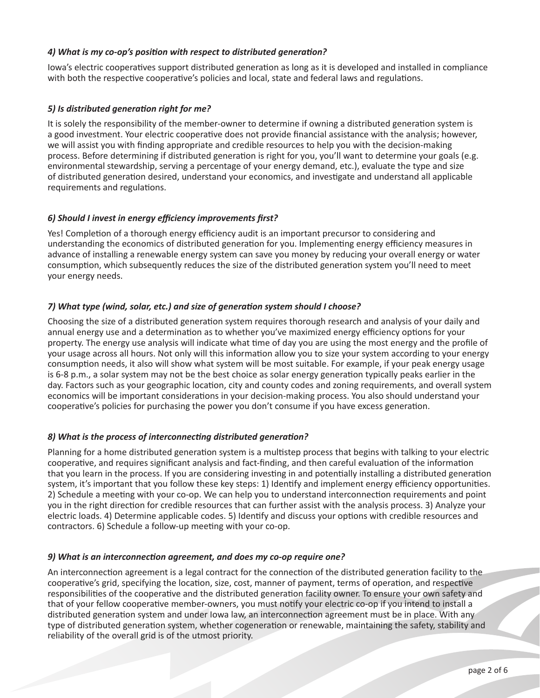## *4) What is my co-op's position with respect to distributed generation?*

Iowa's electric cooperatives support distributed generation as long as it is developed and installed in compliance with both the respective cooperative's policies and local, state and federal laws and regulations.

## *5) Is distributed generation right for me?*

It is solely the responsibility of the member-owner to determine if owning a distributed generation system is a good investment. Your electric cooperative does not provide financial assistance with the analysis; however, we will assist you with finding appropriate and credible resources to help you with the decision-making process. Before determining if distributed generation is right for you, you'll want to determine your goals (e.g. environmental stewardship, serving a percentage of your energy demand, etc.), evaluate the type and size of distributed generation desired, understand your economics, and investigate and understand all applicable requirements and regulations.

# *6) Should I invest in energy efficiency improvements first?*

Yes! Completion of a thorough energy efficiency audit is an important precursor to considering and understanding the economics of distributed generation for you. Implementing energy efficiency measures in advance of installing a renewable energy system can save you money by reducing your overall energy or water consumption, which subsequently reduces the size of the distributed generation system you'll need to meet your energy needs.

## *7) What type (wind, solar, etc.) and size of generation system should I choose?*

Choosing the size of a distributed generation system requires thorough research and analysis of your daily and annual energy use and a determination as to whether you've maximized energy efficiency options for your property. The energy use analysis will indicate what time of day you are using the most energy and the profile of your usage across all hours. Not only will this information allow you to size your system according to your energy consumption needs, it also will show what system will be most suitable. For example, if your peak energy usage is 6-8 p.m., a solar system may not be the best choice as solar energy generation typically peaks earlier in the day. Factors such as your geographic location, city and county codes and zoning requirements, and overall system economics will be important considerations in your decision-making process. You also should understand your cooperative's policies for purchasing the power you don't consume if you have excess generation.

## *8) What is the process of interconnecting distributed generation?*

Planning for a home distributed generation system is a multistep process that begins with talking to your electric cooperative, and requires significant analysis and fact-finding, and then careful evaluation of the information that you learn in the process. If you are considering investing in and potentially installing a distributed generation system, it's important that you follow these key steps: 1) Identify and implement energy efficiency opportunities. 2) Schedule a meeting with your co-op. We can help you to understand interconnection requirements and point you in the right direction for credible resources that can further assist with the analysis process. 3) Analyze your electric loads. 4) Determine applicable codes. 5) Identify and discuss your options with credible resources and contractors. 6) Schedule a follow-up meeting with your co-op.

## *9) What is an interconnection agreement, and does my co-op require one?*

An interconnection agreement is a legal contract for the connection of the distributed generation facility to the cooperative's grid, specifying the location, size, cost, manner of payment, terms of operation, and respective responsibilities of the cooperative and the distributed generation facility owner. To ensure your own safety and that of your fellow cooperative member-owners, you must notify your electric co-op if you intend to install a distributed generation system and under Iowa law, an interconnection agreement must be in place. With any type of distributed generation system, whether cogeneration or renewable, maintaining the safety, stability and reliability of the overall grid is of the utmost priority.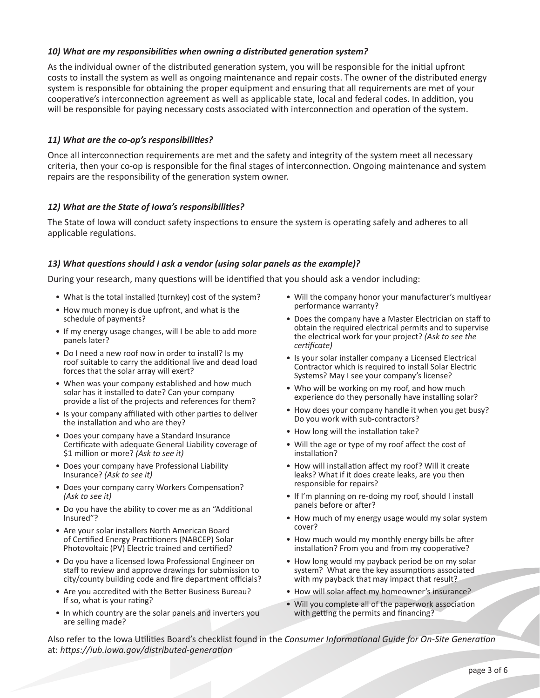## *10) What are my responsibilities when owning a distributed generation system?*

As the individual owner of the distributed generation system, you will be responsible for the initial upfront costs to install the system as well as ongoing maintenance and repair costs. The owner of the distributed energy system is responsible for obtaining the proper equipment and ensuring that all requirements are met of your cooperative's interconnection agreement as well as applicable state, local and federal codes. In addition, you will be responsible for paying necessary costs associated with interconnection and operation of the system.

## *11) What are the co-op's responsibilities?*

Once all interconnection requirements are met and the safety and integrity of the system meet all necessary criteria, then your co-op is responsible for the final stages of interconnection. Ongoing maintenance and system repairs are the responsibility of the generation system owner.

### *12) What are the State of Iowa's responsibilities?*

The State of Iowa will conduct safety inspections to ensure the system is operating safely and adheres to all applicable regulations.

### *13) What questions should I ask a vendor (using solar panels as the example)?*

During your research, many questions will be identified that you should ask a vendor including:

- What is the total installed (turnkey) cost of the system?
- How much money is due upfront, and what is the schedule of payments?
- If my energy usage changes, will I be able to add more panels later?
- Do I need a new roof now in order to install? Is my roof suitable to carry the additional live and dead load forces that the solar array will exert?
- When was your company established and how much solar has it installed to date? Can your company provide a list of the projects and references for them?
- Is your company affiliated with other parties to deliver the installation and who are they?
- Does your company have a Standard Insurance Certificate with adequate General Liability coverage of \$1 million or more? *(Ask to see it)*
- Does your company have Professional Liability Insurance? *(Ask to see it)*
- Does your company carry Workers Compensation? *(Ask to see it)*
- Do you have the ability to cover me as an "Additional Insured"?
- Are your solar installers North American Board of Certified Energy Practitioners (NABCEP) Solar Photovoltaic (PV) Electric trained and certified?
- Do you have a licensed Iowa Professional Engineer on staff to review and approve drawings for submission to city/county building code and fire department officials?
- Are you accredited with the Better Business Bureau? If so, what is your rating?
- In which country are the solar panels and inverters you are selling made?
- Will the company honor your manufacturer's multiyear performance warranty?
- Does the company have a Master Electrician on staff to obtain the required electrical permits and to supervise the electrical work for your project? *(Ask to see the certificate)*
- Is your solar installer company a Licensed Electrical Contractor which is required to install Solar Electric Systems? May I see your company's license?
- Who will be working on my roof, and how much experience do they personally have installing solar?
- How does your company handle it when you get busy? Do you work with sub-contractors?
- How long will the installation take?
- Will the age or type of my roof affect the cost of installation?
- How will installation affect my roof? Will it create leaks? What if it does create leaks, are you then responsible for repairs?
- If I'm planning on re-doing my roof, should I install panels before or after?
- How much of my energy usage would my solar system cover?
- How much would my monthly energy bills be after installation? From you and from my cooperative?
- How long would my payback period be on my solar system? What are the key assumptions associated with my payback that may impact that result?
- How will solar affect my homeowner's insurance?
- Will you complete all of the paperwork association with getting the permits and financing?

Also refer to the Iowa Utilities Board's checklist found in the *Consumer Informational Guide for On-Site Generation* at: *https://iub.iowa.gov/distributed-generation*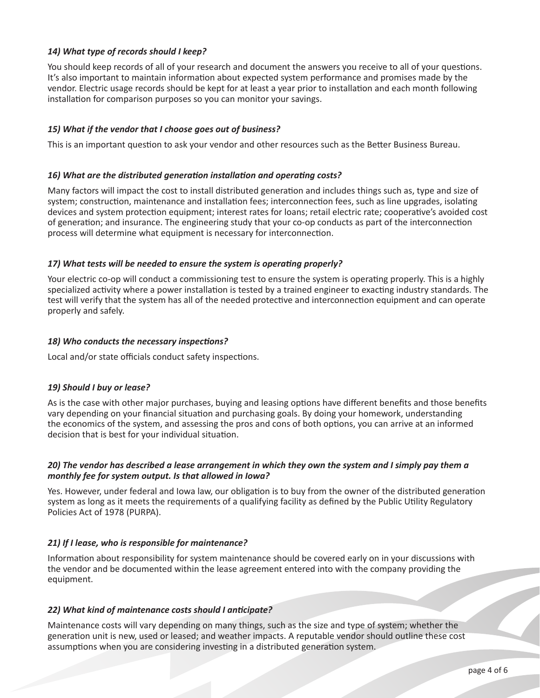## *14) What type of records should I keep?*

You should keep records of all of your research and document the answers you receive to all of your questions. It's also important to maintain information about expected system performance and promises made by the vendor. Electric usage records should be kept for at least a year prior to installation and each month following installation for comparison purposes so you can monitor your savings.

## *15) What if the vendor that I choose goes out of business?*

This is an important question to ask your vendor and other resources such as the Better Business Bureau.

### *16) What are the distributed generation installation and operating costs?*

Many factors will impact the cost to install distributed generation and includes things such as, type and size of system; construction, maintenance and installation fees; interconnection fees, such as line upgrades, isolating devices and system protection equipment; interest rates for loans; retail electric rate; cooperative's avoided cost of generation; and insurance. The engineering study that your co-op conducts as part of the interconnection process will determine what equipment is necessary for interconnection.

### *17) What tests will be needed to ensure the system is operating properly?*

Your electric co-op will conduct a commissioning test to ensure the system is operating properly. This is a highly specialized activity where a power installation is tested by a trained engineer to exacting industry standards. The test will verify that the system has all of the needed protective and interconnection equipment and can operate properly and safely.

### *18) Who conducts the necessary inspections?*

Local and/or state officials conduct safety inspections.

## *19) Should I buy or lease?*

As is the case with other major purchases, buying and leasing options have different benefits and those benefits vary depending on your financial situation and purchasing goals. By doing your homework, understanding the economics of the system, and assessing the pros and cons of both options, you can arrive at an informed decision that is best for your individual situation.

### *20) The vendor has described a lease arrangement in which they own the system and I simply pay them a monthly fee for system output. Is that allowed in Iowa?*

Yes. However, under federal and Iowa law, our obligation is to buy from the owner of the distributed generation system as long as it meets the requirements of a qualifying facility as defined by the Public Utility Regulatory Policies Act of 1978 (PURPA).

## *21) If I lease, who is responsible for maintenance?*

Information about responsibility for system maintenance should be covered early on in your discussions with the vendor and be documented within the lease agreement entered into with the company providing the equipment.

## *22) What kind of maintenance costs should I anticipate?*

Maintenance costs will vary depending on many things, such as the size and type of system; whether the generation unit is new, used or leased; and weather impacts. A reputable vendor should outline these cost assumptions when you are considering investing in a distributed generation system.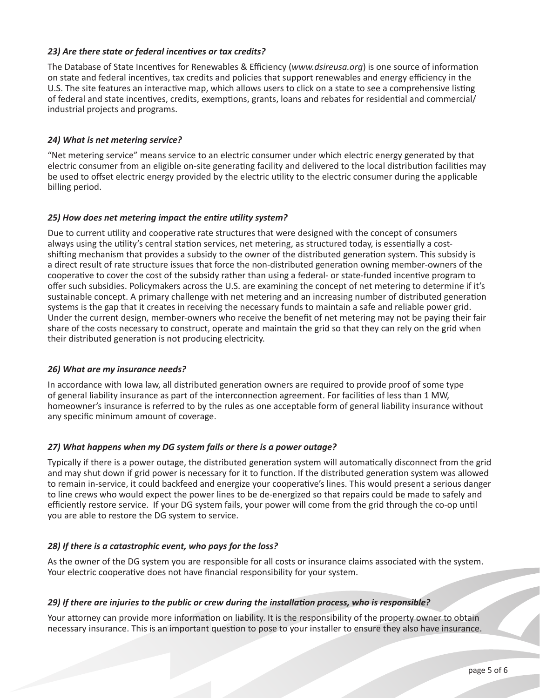## *23) Are there state or federal incentives or tax credits?*

The Database of State Incentives for Renewables & Efficiency (*www.dsireusa.org*) is one source of information on state and federal incentives, tax credits and policies that support renewables and energy efficiency in the U.S. The site features an interactive map, which allows users to click on a state to see a comprehensive listing of federal and state incentives, credits, exemptions, grants, loans and rebates for residential and commercial/ industrial projects and programs.

### *24) What is net metering service?*

"Net metering service" means service to an electric consumer under which electric energy generated by that electric consumer from an eligible on-site generating facility and delivered to the local distribution facilities may be used to offset electric energy provided by the electric utility to the electric consumer during the applicable billing period.

### *25) How does net metering impact the entire utility system?*

Due to current utility and cooperative rate structures that were designed with the concept of consumers always using the utility's central station services, net metering, as structured today, is essentially a costshifting mechanism that provides a subsidy to the owner of the distributed generation system. This subsidy is a direct result of rate structure issues that force the non-distributed generation owning member-owners of the cooperative to cover the cost of the subsidy rather than using a federal- or state-funded incentive program to offer such subsidies. Policymakers across the U.S. are examining the concept of net metering to determine if it's sustainable concept. A primary challenge with net metering and an increasing number of distributed generation systems is the gap that it creates in receiving the necessary funds to maintain a safe and reliable power grid. Under the current design, member-owners who receive the benefit of net metering may not be paying their fair share of the costs necessary to construct, operate and maintain the grid so that they can rely on the grid when their distributed generation is not producing electricity.

#### *26) What are my insurance needs?*

In accordance with Iowa law, all distributed generation owners are required to provide proof of some type of general liability insurance as part of the interconnection agreement. For facilities of less than 1 MW, homeowner's insurance is referred to by the rules as one acceptable form of general liability insurance without any specific minimum amount of coverage.

## *27) What happens when my DG system fails or there is a power outage?*

Typically if there is a power outage, the distributed generation system will automatically disconnect from the grid and may shut down if grid power is necessary for it to function. If the distributed generation system was allowed to remain in-service, it could backfeed and energize your cooperative's lines. This would present a serious danger to line crews who would expect the power lines to be de-energized so that repairs could be made to safely and efficiently restore service. If your DG system fails, your power will come from the grid through the co-op until you are able to restore the DG system to service.

## *28) If there is a catastrophic event, who pays for the loss?*

As the owner of the DG system you are responsible for all costs or insurance claims associated with the system. Your electric cooperative does not have financial responsibility for your system.

## *29) If there are injuries to the public or crew during the installation process, who is responsible?*

Your attorney can provide more information on liability. It is the responsibility of the property owner to obtain necessary insurance. This is an important question to pose to your installer to ensure they also have insurance.